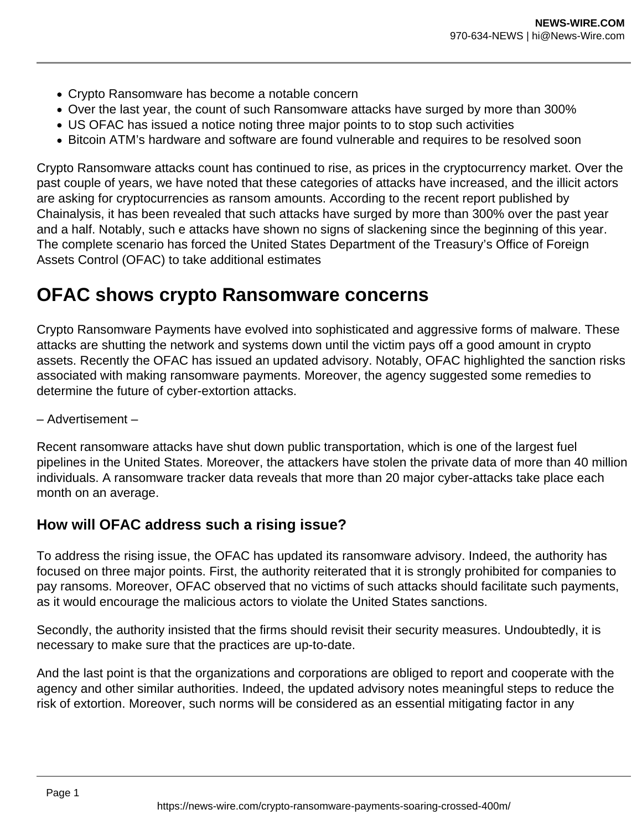- Crypto Ransomware has become a notable concern
- Over the last year, the count of such Ransomware attacks have surged by more than 300%
- US OFAC has issued a notice noting three major points to to stop such activities
- Bitcoin ATM's hardware and software are found vulnerable and requires to be resolved soon

Crypto Ransomware attacks count has continued to rise, as prices in the cryptocurrency market. Over the past couple of years, we have noted that these categories of attacks have increased, and the illicit actors are asking for cryptocurrencies as ransom amounts. According to the recent report published by Chainalysis, it has been revealed that such attacks have surged by more than 300% over the past year and a half. Notably, such e attacks have shown no signs of slackening since the beginning of this year. The complete scenario has forced the United States Department of the Treasury's Office of Foreign Assets Control (OFAC) to take additional estimates

## **OFAC shows crypto Ransomware concerns**

Crypto Ransomware Payments have evolved into sophisticated and aggressive forms of malware. These attacks are shutting the network and systems down until the victim pays off a good amount in crypto assets. Recently the OFAC has issued an updated advisory. Notably, OFAC highlighted the sanction risks associated with making ransomware payments. Moreover, the agency suggested some remedies to determine the future of cyber-extortion attacks.

– Advertisement –

Recent ransomware attacks have shut down public transportation, which is one of the largest fuel pipelines in the United States. Moreover, the attackers have stolen the private data of more than 40 million individuals. A ransomware tracker data reveals that more than 20 major cyber-attacks take place each month on an average.

## **How will OFAC address such a rising issue?**

To address the rising issue, the OFAC has updated its ransomware advisory. Indeed, the authority has focused on three major points. First, the authority reiterated that it is strongly prohibited for companies to pay ransoms. Moreover, OFAC observed that no victims of such attacks should facilitate such payments, as it would encourage the malicious actors to violate the United States sanctions.

Secondly, the authority insisted that the firms should revisit their security measures. Undoubtedly, it is necessary to make sure that the practices are up-to-date.

And the last point is that the organizations and corporations are obliged to report and cooperate with the agency and other similar authorities. Indeed, the updated advisory notes meaningful steps to reduce the risk of extortion. Moreover, such norms will be considered as an essential mitigating factor in any